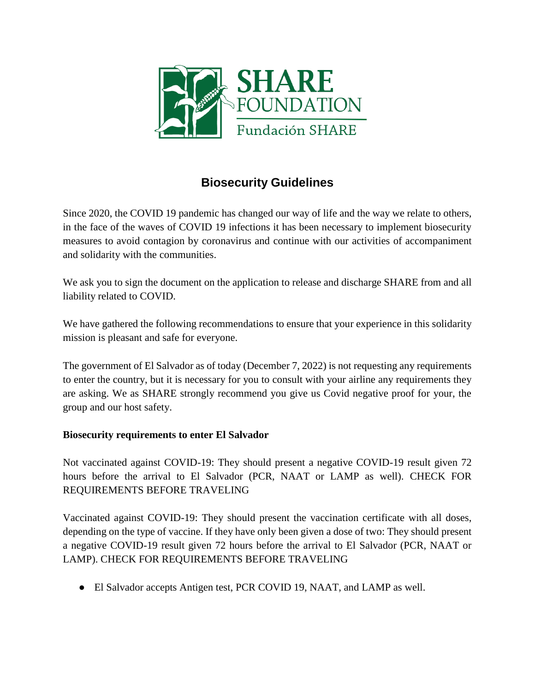

# **Biosecurity Guidelines**

Since 2020, the COVID 19 pandemic has changed our way of life and the way we relate to others, in the face of the waves of COVID 19 infections it has been necessary to implement biosecurity measures to avoid contagion by coronavirus and continue with our activities of accompaniment and solidarity with the communities.

We ask you to sign the document on the application to release and discharge SHARE from and all liability related to COVID.

We have gathered the following recommendations to ensure that your experience in this solidarity mission is pleasant and safe for everyone.

The government of El Salvador as of today (December 7, 2022) is not requesting any requirements to enter the country, but it is necessary for you to consult with your airline any requirements they are asking. We as SHARE strongly recommend you give us Covid negative proof for your, the group and our host safety.

## **Biosecurity requirements to enter El Salvador**

Not vaccinated against COVID-19: They should present a negative COVID-19 result given 72 hours before the arrival to El Salvador (PCR, NAAT or LAMP as well). CHECK FOR REQUIREMENTS BEFORE TRAVELING

Vaccinated against COVID-19: They should present the vaccination certificate with all doses, depending on the type of vaccine. If they have only been given a dose of two: They should present a negative COVID-19 result given 72 hours before the arrival to El Salvador (PCR, NAAT or LAMP). CHECK FOR REQUIREMENTS BEFORE TRAVELING

● El Salvador accepts Antigen test, PCR COVID 19, NAAT, and LAMP as well.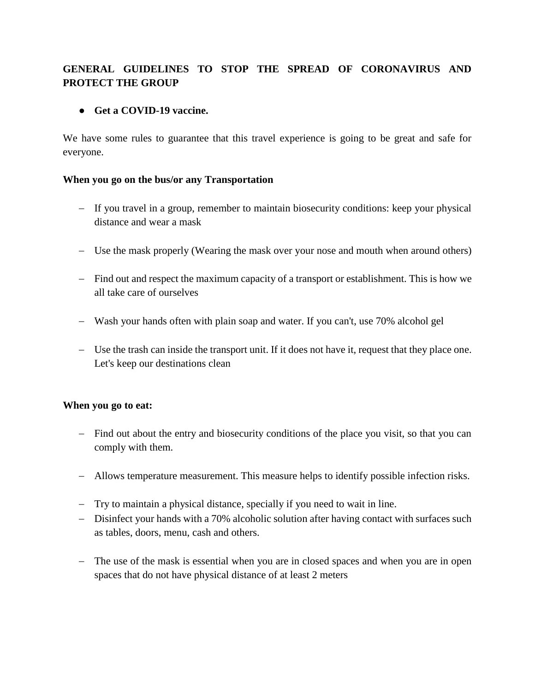## **GENERAL GUIDELINES TO STOP THE SPREAD OF CORONAVIRUS AND PROTECT THE GROUP**

### ● **Get a COVID-19 vaccine.**

We have some rules to guarantee that this travel experience is going to be great and safe for everyone.

#### **When you go on the bus/or any Transportation**

- If you travel in a group, remember to maintain biosecurity conditions: keep your physical distance and wear a mask
- Use the mask properly (Wearing the mask over your nose and mouth when around others)
- Find out and respect the maximum capacity of a transport or establishment. This is how we all take care of ourselves
- Wash your hands often with plain soap and water. If you can't, use 70% alcohol gel
- Use the trash can inside the transport unit. If it does not have it, request that they place one. Let's keep our destinations clean

#### **When you go to eat:**

- Find out about the entry and biosecurity conditions of the place you visit, so that you can comply with them.
- Allows temperature measurement. This measure helps to identify possible infection risks.
- Try to maintain a physical distance, specially if you need to wait in line.
- Disinfect your hands with a 70% alcoholic solution after having contact with surfaces such as tables, doors, menu, cash and others.
- The use of the mask is essential when you are in closed spaces and when you are in open spaces that do not have physical distance of at least 2 meters